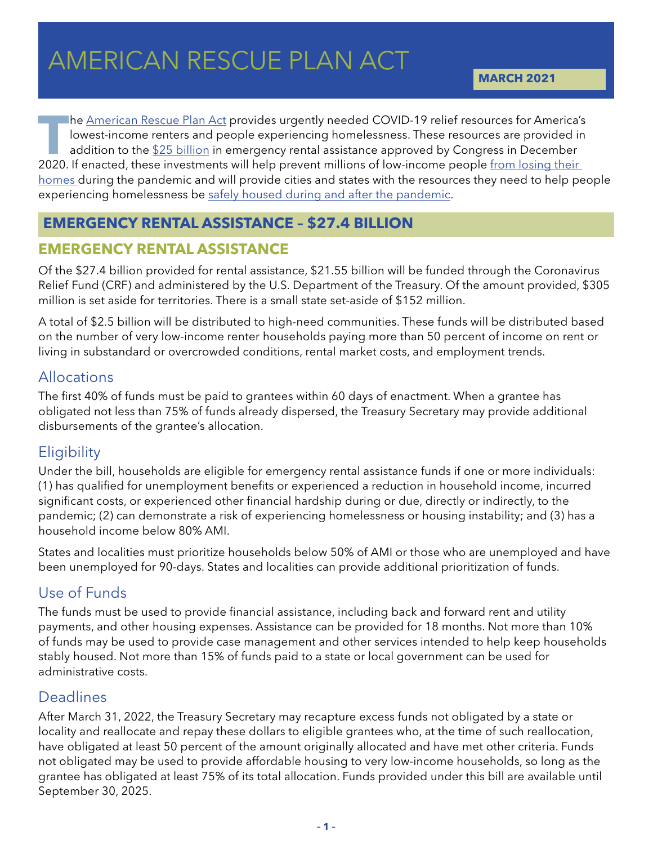# AMERICAN RESCUE PL AMERICAN RESCUE PLAN ACT

**MARCH 2021**

The <u>[American Rescue Plan Act](https://nlihc.org/sites/default/files/KIN21160-Senate-text.pdf)</u> provides urgently needed COVID-19 relief resources for America's<br>lowest-income renters and people experiencing homelessness. These resources are provided in<br>addition to the \$25 billion in eme lowest-income renters and people experiencing homelessness. These resources are provided in addition to the [\\$25 billion](https://nlihc.org/sites/default/files/Housing-Provisions-in-Emergency-COVID-19-Relief-Package.pdf) in emergency rental assistance approved by Congress in December 2020. If enacted, these investments will help prevent millions of low-income people [from losing their](https://www.urban.org/research/publication/averting-eviction-crisis)  [homes](https://www.urban.org/research/publication/averting-eviction-crisis) during the pandemic and will provide cities and states with the resources they need to help people experiencing homelessness be [safely housed during and after the pandemic.](https://nlihc.org/sites/default/files/COVID-Homelessness-Response-Need-Round-2_01-27-21_v4-Write-Up.pdf)

## **EMERGENCY RENTAL ASSISTANCE – \$27.4 BILLION**

## **EMERGENCY RENTAL ASSISTANCE**

Of the \$27.4 billion provided for rental assistance, \$21.55 billion will be funded through the Coronavirus Relief Fund (CRF) and administered by the U.S. Department of the Treasury. Of the amount provided, \$305 million is set aside for territories. There is a small state set-aside of \$152 million.

A total of \$2.5 billion will be distributed to high-need communities. These funds will be distributed based on the number of very low-income renter households paying more than 50 percent of income on rent or living in substandard or overcrowded conditions, rental market costs, and employment trends.

## Allocations

The first 40% of funds must be paid to grantees within 60 days of enactment. When a grantee has obligated not less than 75% of funds already dispersed, the Treasury Secretary may provide additional disbursements of the grantee's allocation.

## **Eligibility**

Under the bill, households are eligible for emergency rental assistance funds if one or more individuals: (1) has qualified for unemployment benefits or experienced a reduction in household income, incurred significant costs, or experienced other financial hardship during or due, directly or indirectly, to the pandemic; (2) can demonstrate a risk of experiencing homelessness or housing instability; and (3) has a household income below 80% AMI.

States and localities must prioritize households below 50% of AMI or those who are unemployed and have been unemployed for 90-days. States and localities can provide additional prioritization of funds.

# Use of Funds

The funds must be used to provide financial assistance, including back and forward rent and utility payments, and other housing expenses. Assistance can be provided for 18 months. Not more than 10% of funds may be used to provide case management and other services intended to help keep households stably housed. Not more than 15% of funds paid to a state or local government can be used for administrative costs.

## Deadlines

After March 31, 2022, the Treasury Secretary may recapture excess funds not obligated by a state or locality and reallocate and repay these dollars to eligible grantees who, at the time of such reallocation, have obligated at least 50 percent of the amount originally allocated and have met other criteria. Funds not obligated may be used to provide affordable housing to very low-income households, so long as the grantee has obligated at least 75% of its total allocation. Funds provided under this bill are available until September 30, 2025.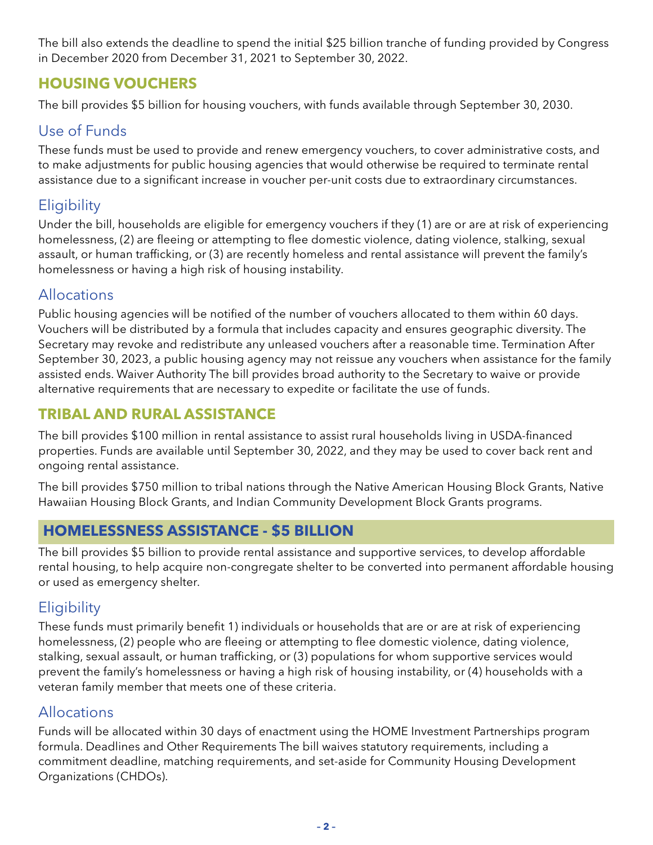The bill also extends the deadline to spend the initial \$25 billion tranche of funding provided by Congress in December 2020 from December 31, 2021 to September 30, 2022.

## **HOUSING VOUCHERS**

The bill provides \$5 billion for housing vouchers, with funds available through September 30, 2030.

# Use of Funds

These funds must be used to provide and renew emergency vouchers, to cover administrative costs, and to make adjustments for public housing agencies that would otherwise be required to terminate rental assistance due to a significant increase in voucher per-unit costs due to extraordinary circumstances.

# **Eligibility**

Under the bill, households are eligible for emergency vouchers if they (1) are or are at risk of experiencing homelessness, (2) are fleeing or attempting to flee domestic violence, dating violence, stalking, sexual assault, or human trafficking, or (3) are recently homeless and rental assistance will prevent the family's homelessness or having a high risk of housing instability.

## Allocations

Public housing agencies will be notified of the number of vouchers allocated to them within 60 days. Vouchers will be distributed by a formula that includes capacity and ensures geographic diversity. The Secretary may revoke and redistribute any unleased vouchers after a reasonable time. Termination After September 30, 2023, a public housing agency may not reissue any vouchers when assistance for the family assisted ends. Waiver Authority The bill provides broad authority to the Secretary to waive or provide alternative requirements that are necessary to expedite or facilitate the use of funds.

## **TRIBAL AND RURAL ASSISTANCE**

The bill provides \$100 million in rental assistance to assist rural households living in USDA-financed properties. Funds are available until September 30, 2022, and they may be used to cover back rent and ongoing rental assistance.

The bill provides \$750 million to tribal nations through the Native American Housing Block Grants, Native Hawaiian Housing Block Grants, and Indian Community Development Block Grants programs.

# **HOMELESSNESS ASSISTANCE - \$5 BILLION**

The bill provides \$5 billion to provide rental assistance and supportive services, to develop affordable rental housing, to help acquire non-congregate shelter to be converted into permanent affordable housing or used as emergency shelter.

## **Eligibility**

These funds must primarily benefit 1) individuals or households that are or are at risk of experiencing homelessness, (2) people who are fleeing or attempting to flee domestic violence, dating violence, stalking, sexual assault, or human trafficking, or (3) populations for whom supportive services would prevent the family's homelessness or having a high risk of housing instability, or (4) households with a veteran family member that meets one of these criteria.

## Allocations

Funds will be allocated within 30 days of enactment using the HOME Investment Partnerships program formula. Deadlines and Other Requirements The bill waives statutory requirements, including a commitment deadline, matching requirements, and set-aside for Community Housing Development Organizations (CHDOs).